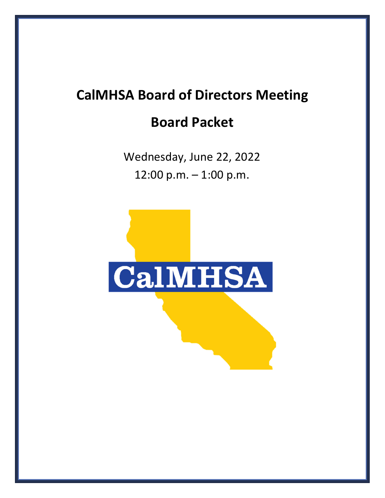## **CalMHSA Board of Directors Meeting Board Packet**

Wednesday, June 22, 2022 12:00 p.m. – 1:00 p.m.

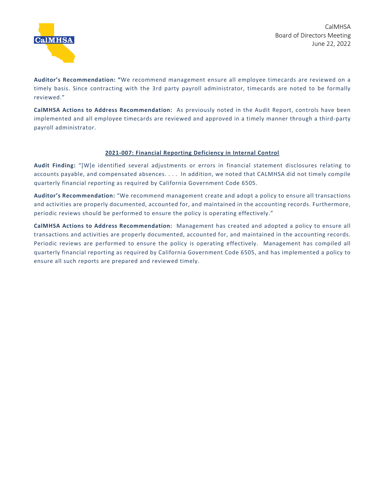**Auditor's Recommendation: "**We recommend management ensure all employee timecards are reviewed on a timely basis. Since contracting with the 3rd party payroll administrator, timecards are noted to be formally reviewed."

**CalMHSA Actions to Address Recommendation:** As previously noted in the Audit Report, controls have been implemented and all employee timecards are reviewed and approved in a timely manner through a third-party payroll administrator.

## **2021-007: Financial Reporting Deficiency in Internal Control**

**Audit Finding:** "[W]e identified several adjustments or errors in financial statement disclosures relating to accounts payable, and compensated absences. . . . In addition, we noted that CALMHSA did not timely compile quarterly financial reporting as required by California Government Code 6505.

**Auditor's Recommendation:** "We recommend management create and adopt a policy to ensure all transactions and activities are properly documented, accounted for, and maintained in the accounting records. Furthermore, periodic reviews should be performed to ensure the policy is operating effectively."

**CalMHSA Actions to Address Recommendation:** Management has created and adopted a policy to ensure all transactions and activities are properly documented, accounted for, and maintained in the accounting records. Periodic reviews are performed to ensure the policy is operating effectively. Management has compiled all quarterly financial reporting as required by California Government Code 6505, and has implemented a policy to ensure all such reports are prepared and reviewed timely.